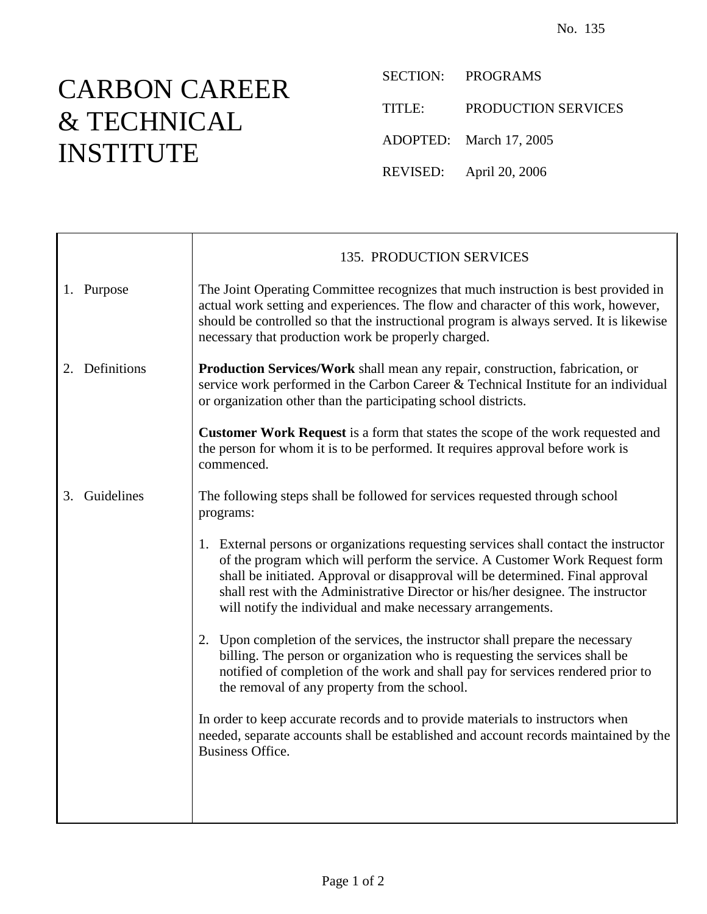## CARBON CAREER & TECHNICAL INSTITUTE

SECTION: PROGRAMS

TITLE: PRODUCTION SERVICES

ADOPTED: March 17, 2005

REVISED: April 20, 2006

|                  | 135. PRODUCTION SERVICES                                                                                                                                                                                                                                                                                                                                                                                 |
|------------------|----------------------------------------------------------------------------------------------------------------------------------------------------------------------------------------------------------------------------------------------------------------------------------------------------------------------------------------------------------------------------------------------------------|
| 1. Purpose       | The Joint Operating Committee recognizes that much instruction is best provided in<br>actual work setting and experiences. The flow and character of this work, however,<br>should be controlled so that the instructional program is always served. It is likewise<br>necessary that production work be properly charged.                                                                               |
| 2. Definitions   | <b>Production Services/Work</b> shall mean any repair, construction, fabrication, or<br>service work performed in the Carbon Career & Technical Institute for an individual<br>or organization other than the participating school districts.                                                                                                                                                            |
|                  | <b>Customer Work Request</b> is a form that states the scope of the work requested and<br>the person for whom it is to be performed. It requires approval before work is<br>commenced.                                                                                                                                                                                                                   |
| Guidelines<br>3. | The following steps shall be followed for services requested through school<br>programs:                                                                                                                                                                                                                                                                                                                 |
|                  | 1. External persons or organizations requesting services shall contact the instructor<br>of the program which will perform the service. A Customer Work Request form<br>shall be initiated. Approval or disapproval will be determined. Final approval<br>shall rest with the Administrative Director or his/her designee. The instructor<br>will notify the individual and make necessary arrangements. |
|                  | 2. Upon completion of the services, the instructor shall prepare the necessary<br>billing. The person or organization who is requesting the services shall be<br>notified of completion of the work and shall pay for services rendered prior to<br>the removal of any property from the school.                                                                                                         |
|                  | In order to keep accurate records and to provide materials to instructors when<br>needed, separate accounts shall be established and account records maintained by the<br><b>Business Office.</b>                                                                                                                                                                                                        |
|                  |                                                                                                                                                                                                                                                                                                                                                                                                          |